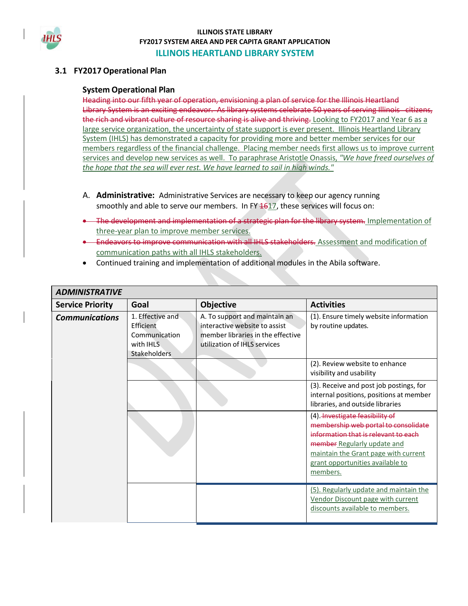

## **3.1 FY2017 Operational Plan**

#### **System Operational Plan**

Heading into our fifth year of operation, envisioning a plan of service for the Illinois Heartland Library System is an exciting endeavor. As library systems celebrate 50 years of serving Illinois citizens, the rich and vibrant culture of resource sharing is alive and thriving. Looking to FY2017 and Year 6 as a large service organization, the uncertainty of state support is ever present. Illinois Heartland Library System (IHLS) has demonstrated a capacity for providing more and better member services for our members regardless of the financial challenge. Placing member needs first allows us to improve current services and develop new services as well. To paraphrase Aristotle Onassis, *"We have freed ourselves of the hope that the sea will ever rest. We have learned to sail in high winds."*

- A. **Administrative:** Administrative Services are necessary to keep our agency running smoothly and able to serve our members. In FY  $1617$ , these services will focus on:
- **•** The development and implementation of a strategic plan for the library system. Implementation of three-year plan to improve member services.
- **Endeavors to improve communication with all IHLS stakeholders.** Assessment and modification of communication paths with all IHLS stakeholders.
- Continued training and implementation of additional modules in the Abila software.

| <b>ADMINISTRATIVE</b>   |                                                                                    |                                                                                                                                     |                                                                                                                                                                                                                                                  |
|-------------------------|------------------------------------------------------------------------------------|-------------------------------------------------------------------------------------------------------------------------------------|--------------------------------------------------------------------------------------------------------------------------------------------------------------------------------------------------------------------------------------------------|
| <b>Service Priority</b> | Goal                                                                               | <b>Objective</b>                                                                                                                    | <b>Activities</b>                                                                                                                                                                                                                                |
| <b>Communications</b>   | 1. Effective and<br>Efficient<br>Communication<br>with IHLS<br><b>Stakeholders</b> | A. To support and maintain an<br>interactive website to assist<br>member libraries in the effective<br>utilization of IHLS services | (1). Ensure timely website information<br>by routine updates.                                                                                                                                                                                    |
|                         |                                                                                    |                                                                                                                                     | (2). Review website to enhance<br>visibility and usability                                                                                                                                                                                       |
|                         |                                                                                    |                                                                                                                                     | (3). Receive and post job postings, for<br>internal positions, positions at member<br>libraries, and outside libraries                                                                                                                           |
|                         |                                                                                    |                                                                                                                                     | (4) <del>Investigate feasibility of</del><br>membership web portal to consolidate<br>information that is relevant to each<br>member Regularly update and<br>maintain the Grant page with current<br>grant opportunities available to<br>members. |
|                         |                                                                                    |                                                                                                                                     | (5). Regularly update and maintain the<br>Vendor Discount page with current<br>discounts available to members.                                                                                                                                   |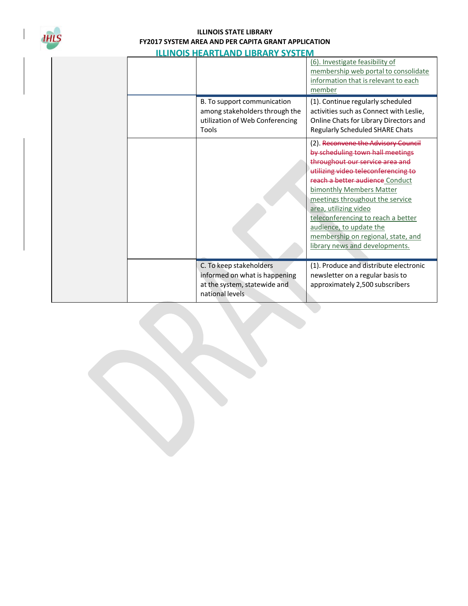

|  |                                                                                                             | (6). Investigate feasibility of<br>membership web portal to consolidate<br>information that is relevant to each<br>member                                                                                                                                                                                                                                                                                             |
|--|-------------------------------------------------------------------------------------------------------------|-----------------------------------------------------------------------------------------------------------------------------------------------------------------------------------------------------------------------------------------------------------------------------------------------------------------------------------------------------------------------------------------------------------------------|
|  | B. To support communication<br>among stakeholders through the<br>utilization of Web Conferencing<br>Tools   | (1). Continue regularly scheduled<br>activities such as Connect with Leslie,<br>Online Chats for Library Directors and<br>Regularly Scheduled SHARE Chats                                                                                                                                                                                                                                                             |
|  |                                                                                                             | (2). Reconvene the Advisory Council<br>by scheduling town hall meetings<br>throughout our service area and<br>utilizing video teleconferencing to<br>reach a better audience Conduct<br>bimonthly Members Matter<br>meetings throughout the service<br>area, utilizing video<br>teleconferencing to reach a better<br>audience, to update the<br>membership on regional, state, and<br>library news and developments. |
|  | C. To keep stakeholders<br>informed on what is happening<br>at the system, statewide and<br>national levels | (1). Produce and distribute electronic<br>newsletter on a regular basis to<br>approximately 2,500 subscribers                                                                                                                                                                                                                                                                                                         |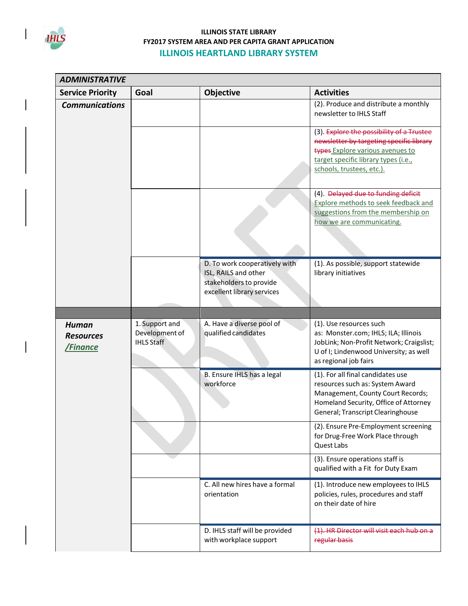

| <b>ADMINISTRATIVE</b>                               |                                                       |                                                                                                                |                                                                                                                                                                                                |
|-----------------------------------------------------|-------------------------------------------------------|----------------------------------------------------------------------------------------------------------------|------------------------------------------------------------------------------------------------------------------------------------------------------------------------------------------------|
| <b>Service Priority</b>                             | Goal                                                  | <b>Objective</b>                                                                                               | <b>Activities</b>                                                                                                                                                                              |
| <b>Communications</b>                               |                                                       |                                                                                                                | (2). Produce and distribute a monthly<br>newsletter to IHLS Staff                                                                                                                              |
|                                                     |                                                       |                                                                                                                | (3). Explore the possibility of a Trustee<br>newsletter by targeting specific library<br>types Explore various avenues to<br>target specific library types (i.e.,<br>schools, trustees, etc.). |
|                                                     |                                                       |                                                                                                                | (4). Delayed due to funding deficit<br><b>Explore methods to seek feedback and</b><br>suggestions from the membership on<br>how we are communicating.                                          |
|                                                     |                                                       | D. To work cooperatively with<br>ISL, RAILS and other<br>stakeholders to provide<br>excellent library services | (1). As possible, support statewide<br>library initiatives                                                                                                                                     |
|                                                     |                                                       |                                                                                                                |                                                                                                                                                                                                |
| <b>Human</b><br><b>Resources</b><br><b>/Finance</b> | 1. Support and<br>Development of<br><b>IHLS Staff</b> | A. Have a diverse pool of<br>qualified candidates                                                              | (1). Use resources such<br>as: Monster.com; IHLS; ILA; Illinois<br>JobLink; Non-Profit Network; Craigslist;<br>U of I; Lindenwood University; as well<br>as regional job fairs                 |
|                                                     |                                                       | B. Ensure IHLS has a legal<br>workforce                                                                        | (1). For all final candidates use<br>resources such as: System Award<br>Management, County Court Records;<br>Homeland Security, Office of Attorney<br>General; Transcript Clearinghouse        |
|                                                     |                                                       |                                                                                                                | (2). Ensure Pre-Employment screening<br>for Drug-Free Work Place through<br>Quest Labs                                                                                                         |
|                                                     |                                                       |                                                                                                                | (3). Ensure operations staff is<br>qualified with a Fit for Duty Exam                                                                                                                          |
|                                                     |                                                       | C. All new hires have a formal<br>orientation                                                                  | (1). Introduce new employees to IHLS<br>policies, rules, procedures and staff<br>on their date of hire                                                                                         |
|                                                     |                                                       | D. IHLS staff will be provided<br>with workplace support                                                       | (1). HR Director will visit each hub on a<br>regular basis                                                                                                                                     |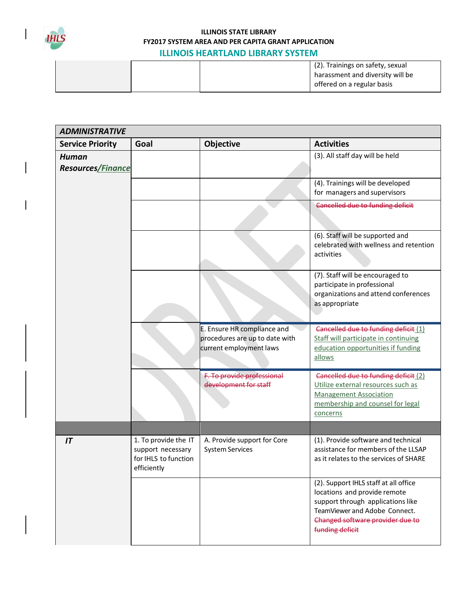

 $\mathsf{l}$ 

| <b>ADMINISTRATIVE</b>                    |                                                                                  |                                                                                          |                                                                                                                                                                                                    |
|------------------------------------------|----------------------------------------------------------------------------------|------------------------------------------------------------------------------------------|----------------------------------------------------------------------------------------------------------------------------------------------------------------------------------------------------|
| <b>Service Priority</b>                  | Goal                                                                             | <b>Objective</b>                                                                         | <b>Activities</b>                                                                                                                                                                                  |
| <b>Human</b><br><b>Resources/Finance</b> |                                                                                  |                                                                                          | (3). All staff day will be held                                                                                                                                                                    |
|                                          |                                                                                  |                                                                                          | (4). Trainings will be developed<br>for managers and supervisors                                                                                                                                   |
|                                          |                                                                                  |                                                                                          | Cancelled due to funding deficit                                                                                                                                                                   |
|                                          |                                                                                  |                                                                                          | (6). Staff will be supported and<br>celebrated with wellness and retention<br>activities                                                                                                           |
|                                          |                                                                                  |                                                                                          | (7). Staff will be encouraged to<br>participate in professional<br>organizations and attend conferences<br>as appropriate                                                                          |
|                                          |                                                                                  | E. Ensure HR compliance and<br>procedures are up to date with<br>current employment laws | Cancelled due to funding deficit (1)<br>Staff will participate in continuing<br>education opportunities if funding<br>allows                                                                       |
|                                          |                                                                                  | F. To provide professional<br>development for staff                                      | Cancelled due to funding deficit (2)<br>Utilize external resources such as<br><b>Management Association</b><br>membership and counsel for legal<br>concerns                                        |
|                                          |                                                                                  |                                                                                          |                                                                                                                                                                                                    |
| IT                                       | 1. To provide the IT<br>support necessary<br>for IHLS to function<br>efficiently | A. Provide support for Core<br><b>System Services</b>                                    | (1). Provide software and technical<br>assistance for members of the LLSAP<br>as it relates to the services of SHARE                                                                               |
|                                          |                                                                                  |                                                                                          | (2). Support IHLS staff at all office<br>locations and provide remote<br>support through applications like<br>TeamViewer and Adobe Connect.<br>Changed software provider due to<br>funding deficit |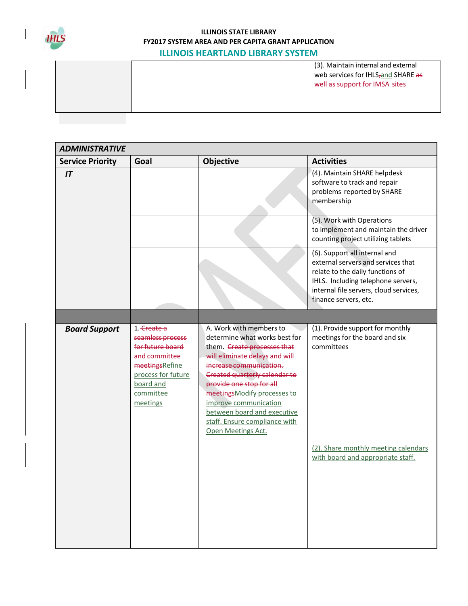

|  | (3). Maintain internal and external<br>web services for IHLS <sub>7</sub> and SHARE as<br>well as support for IMSA sites |
|--|--------------------------------------------------------------------------------------------------------------------------|
|  |                                                                                                                          |

| <b>ADMINISTRATIVE</b>   |                                                                                                                                                    |                                                                                                                                                                                                                                                                                                                                                                 |                                                                                                                                                                                                                  |
|-------------------------|----------------------------------------------------------------------------------------------------------------------------------------------------|-----------------------------------------------------------------------------------------------------------------------------------------------------------------------------------------------------------------------------------------------------------------------------------------------------------------------------------------------------------------|------------------------------------------------------------------------------------------------------------------------------------------------------------------------------------------------------------------|
| <b>Service Priority</b> | Goal                                                                                                                                               | Objective                                                                                                                                                                                                                                                                                                                                                       | <b>Activities</b>                                                                                                                                                                                                |
| IT                      |                                                                                                                                                    |                                                                                                                                                                                                                                                                                                                                                                 | (4). Maintain SHARE helpdesk<br>software to track and repair<br>problems reported by SHARE<br>membership                                                                                                         |
|                         |                                                                                                                                                    |                                                                                                                                                                                                                                                                                                                                                                 | (5). Work with Operations<br>to implement and maintain the driver<br>counting project utilizing tablets                                                                                                          |
|                         |                                                                                                                                                    |                                                                                                                                                                                                                                                                                                                                                                 | (6). Support all internal and<br>external servers and services that<br>relate to the daily functions of<br>IHLS. Including telephone servers,<br>internal file servers, cloud services,<br>finance servers, etc. |
|                         |                                                                                                                                                    |                                                                                                                                                                                                                                                                                                                                                                 |                                                                                                                                                                                                                  |
| <b>Board Support</b>    | 1. Create a<br>seamless process<br>for future board<br>and committee<br>meetingsRefine<br>process for future<br>board and<br>committee<br>meetings | A. Work with members to<br>determine what works best for<br>them. Create processes that<br>will eliminate delays and will<br>increase communication.<br>Created quarterly calendar to<br>provide one stop for all<br>meetingsModify processes to<br>improve communication<br>between board and executive<br>staff. Ensure compliance with<br>Open Meetings Act. | (1). Provide support for monthly<br>meetings for the board and six<br>committees                                                                                                                                 |
|                         |                                                                                                                                                    |                                                                                                                                                                                                                                                                                                                                                                 | (2). Share monthly meeting calendars<br>with board and appropriate staff.                                                                                                                                        |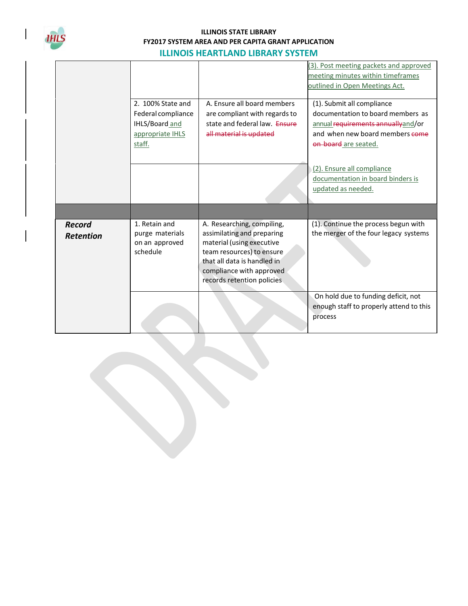

|                                   |                                                                                           |                                                                                                                                                                                                             | (3). Post meeting packets and approved<br>meeting minutes within timeframes<br>outlined in Open Meetings Act.                                                     |
|-----------------------------------|-------------------------------------------------------------------------------------------|-------------------------------------------------------------------------------------------------------------------------------------------------------------------------------------------------------------|-------------------------------------------------------------------------------------------------------------------------------------------------------------------|
|                                   | $2.100\%$ State and<br>Federal compliance<br>IHLS/Board and<br>appropriate IHLS<br>staff. | A. Ensure all board members<br>are compliant with regards to<br>state and federal law. Ensure<br>all material is updated                                                                                    | (1). Submit all compliance<br>documentation to board members as<br>annual requirements annually and/or<br>and when new board members come<br>on board are seated. |
|                                   |                                                                                           |                                                                                                                                                                                                             | (2). Ensure all compliance<br>documentation in board binders is<br>updated as needed.                                                                             |
|                                   |                                                                                           |                                                                                                                                                                                                             |                                                                                                                                                                   |
| <b>Record</b><br><b>Retention</b> | 1. Retain and<br>purge materials<br>on an approved<br>schedule                            | A. Researching, compiling,<br>assimilating and preparing<br>material (using executive<br>team resources) to ensure<br>that all data is handled in<br>compliance with approved<br>records retention policies | (1). Continue the process begun with<br>the merger of the four legacy systems                                                                                     |
|                                   |                                                                                           |                                                                                                                                                                                                             | On hold due to funding deficit, not<br>enough staff to properly attend to this<br>process                                                                         |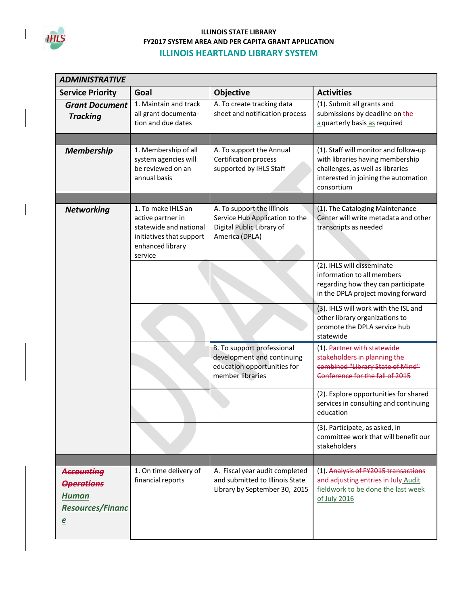

 $\mathsf{l}$ 

| <b>ADMINISTRATIVE</b>                                                                        |                                                                                                                              |                                                                                                             |                                                                                                                                                                     |
|----------------------------------------------------------------------------------------------|------------------------------------------------------------------------------------------------------------------------------|-------------------------------------------------------------------------------------------------------------|---------------------------------------------------------------------------------------------------------------------------------------------------------------------|
| <b>Service Priority</b>                                                                      | Goal                                                                                                                         | Objective                                                                                                   | <b>Activities</b>                                                                                                                                                   |
| <b>Grant Document</b><br><b>Tracking</b>                                                     | 1. Maintain and track<br>all grant documenta-<br>tion and due dates                                                          | A. To create tracking data<br>sheet and notification process                                                | (1). Submit all grants and<br>submissions by deadline on the<br>a quarterly basis as required                                                                       |
|                                                                                              |                                                                                                                              |                                                                                                             |                                                                                                                                                                     |
| <b>Membership</b>                                                                            | 1. Membership of all<br>system agencies will<br>be reviewed on an<br>annual basis                                            | A. To support the Annual<br>Certification process<br>supported by IHLS Staff                                | (1). Staff will monitor and follow-up<br>with libraries having membership<br>challenges, as well as libraries<br>interested in joining the automation<br>consortium |
|                                                                                              |                                                                                                                              |                                                                                                             |                                                                                                                                                                     |
| <b>Networking</b>                                                                            | 1. To make IHLS an<br>active partner in<br>statewide and national<br>initiatives that support<br>enhanced library<br>service | A. To support the Illinois<br>Service Hub Application to the<br>Digital Public Library of<br>America (DPLA) | (1). The Cataloging Maintenance<br>Center will write metadata and other<br>transcripts as needed                                                                    |
|                                                                                              |                                                                                                                              |                                                                                                             | (2). IHLS will disseminate<br>information to all members<br>regarding how they can participate<br>in the DPLA project moving forward                                |
|                                                                                              |                                                                                                                              |                                                                                                             | (3). IHLS will work with the ISL and<br>other library organizations to<br>promote the DPLA service hub<br>statewide                                                 |
|                                                                                              |                                                                                                                              | B. To support professional<br>development and continuing<br>education opportunities for<br>member libraries | (1). Partner with statewide<br>stakeholders in planning the<br>combined "Library State of Mind"<br>Conference for the fall of 2015                                  |
|                                                                                              |                                                                                                                              |                                                                                                             | (2). Explore opportunities for shared<br>services in consulting and continuing<br>education                                                                         |
|                                                                                              |                                                                                                                              |                                                                                                             | (3). Participate, as asked, in<br>committee work that will benefit our<br>stakeholders                                                                              |
|                                                                                              |                                                                                                                              |                                                                                                             |                                                                                                                                                                     |
| Accounting<br><b>Operations</b><br><b>Human</b><br><b>Resources/Financ</b><br>$\overline{e}$ | 1. On time delivery of<br>financial reports                                                                                  | A. Fiscal year audit completed<br>and submitted to Illinois State<br>Library by September 30, 2015          | (1). Analysis of FY2015 transactions<br>and adjusting entries in July Audit<br>fieldwork to be done the last week<br>of July 2016                                   |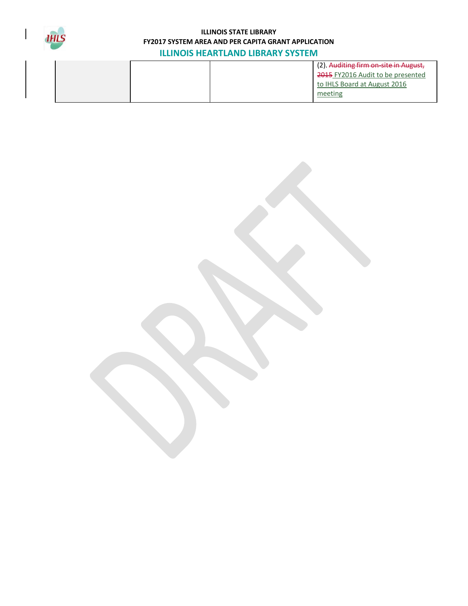

|  | (2). Auditing firm on-site in August,<br>2015 FY2016 Audit to be presented<br>to IHLS Board at August 2016 |
|--|------------------------------------------------------------------------------------------------------------|
|  | meeting                                                                                                    |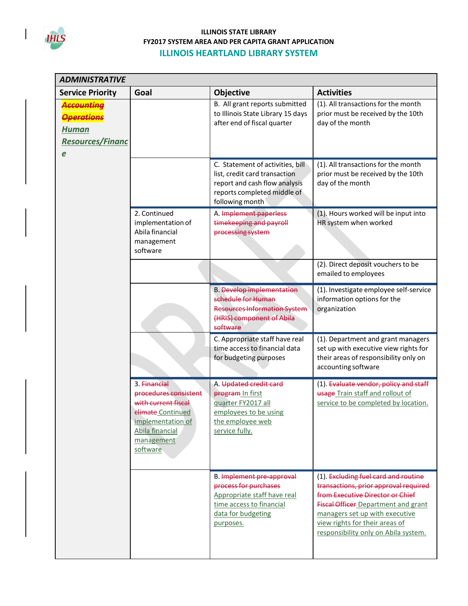

 $\mathsf{l}$ 

| <b>ADMINISTRATIVE</b>                                                                      |                                                                                                                                                     |                                                                                                                                                      |                                                                                                                                                                                                                                                                             |
|--------------------------------------------------------------------------------------------|-----------------------------------------------------------------------------------------------------------------------------------------------------|------------------------------------------------------------------------------------------------------------------------------------------------------|-----------------------------------------------------------------------------------------------------------------------------------------------------------------------------------------------------------------------------------------------------------------------------|
| <b>Service Priority</b>                                                                    | Goal                                                                                                                                                | Objective                                                                                                                                            | <b>Activities</b>                                                                                                                                                                                                                                                           |
| <del>Accounting</del><br><b>Operations</b><br><b>Human</b><br><b>Resources/Financ</b><br>e |                                                                                                                                                     | B. All grant reports submitted<br>to Illinois State Library 15 days<br>after end of fiscal quarter                                                   | (1). All transactions for the month<br>prior must be received by the 10th<br>day of the month                                                                                                                                                                               |
|                                                                                            |                                                                                                                                                     | C. Statement of activities, bill<br>list, credit card transaction<br>report and cash flow analysis<br>reports completed middle of<br>following month | (1). All transactions for the month<br>prior must be received by the 10th<br>day of the month                                                                                                                                                                               |
|                                                                                            | 2. Continued<br>implementation of<br>Abila financial<br>management<br>software                                                                      | A. Implement paperless<br>timekeeping and payroll<br>processing system                                                                               | (1). Hours worked will be input into<br>HR system when worked                                                                                                                                                                                                               |
|                                                                                            |                                                                                                                                                     |                                                                                                                                                      | (2). Direct deposit vouchers to be<br>emailed to employees                                                                                                                                                                                                                  |
|                                                                                            |                                                                                                                                                     | <b>B.</b> Develop implementation<br>schedule for Human<br><b>Resources Information System</b><br>(HRIS) component of Abila<br>software               | (1). Investigate employee self-service<br>information options for the<br>organization                                                                                                                                                                                       |
|                                                                                            |                                                                                                                                                     | C. Appropriate staff have real<br>time access to financial data<br>for budgeting purposes                                                            | (1). Department and grant managers<br>set up with executive view rights for<br>their areas of responsibility only on<br>accounting software                                                                                                                                 |
|                                                                                            | 3. Financial<br>procedures consistent<br>with current fiscal<br>climate Continued<br>implementation of<br>Abila financial<br>management<br>software | A. Updated credit card<br>program In first<br>quarter FY2017 all<br>employees to be using<br>the employee web<br>service fully.                      | (1). Evaluate vendor, policy and staff<br>usage Train staff and rollout of<br>service to be completed by location.                                                                                                                                                          |
|                                                                                            |                                                                                                                                                     | B. Implement pre-approval<br>process for purchases<br>Appropriate staff have real<br>time access to financial<br>data for budgeting<br>purposes.     | (1). Excluding fuel card and routine<br>transactions, prior approval required<br>from Executive Director or Chief<br><b>Fiscal Officer Department and grant</b><br>managers set up with executive<br>view rights for their areas of<br>responsibility only on Abila system. |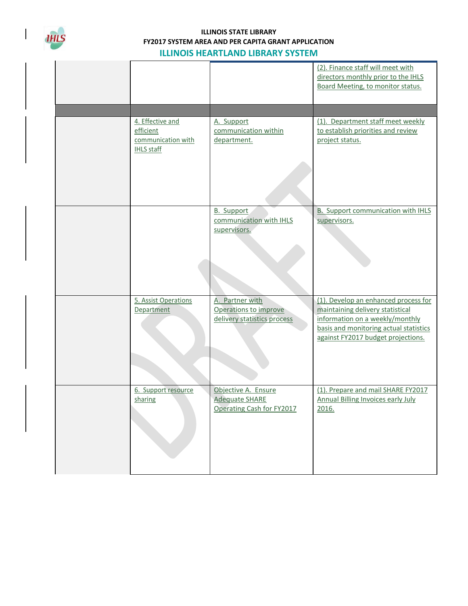

|  |                                                                          |                                                                           | (2). Finance staff will meet with<br>directors monthly prior to the IHLS<br>Board Meeting, to monitor status.                                                                               |
|--|--------------------------------------------------------------------------|---------------------------------------------------------------------------|---------------------------------------------------------------------------------------------------------------------------------------------------------------------------------------------|
|  | 4. Effective and<br>efficient<br>communication with<br><b>IHLS staff</b> | A. Support<br>communication within<br>department.                         | (1). Department staff meet weekly<br>to establish priorities and review<br>project status.                                                                                                  |
|  |                                                                          | <b>B.</b> Support<br>communication with IHLS<br>supervisors.              | B. Support communication with IHLS<br>supervisors.                                                                                                                                          |
|  | 5. Assist Operations<br>Department                                       | A. Partner with<br>Operations to improve<br>delivery statistics process   | (1). Develop an enhanced process for<br>maintaining delivery statistical<br>information on a weekly/monthly<br>basis and monitoring actual statistics<br>against FY2017 budget projections. |
|  | 6. Support resource<br>sharing                                           | Objective A. Ensure<br><b>Adequate SHARE</b><br>Operating Cash for FY2017 | (1). Prepare and mail SHARE FY2017<br><b>Annual Billing Invoices early July</b><br>2016.                                                                                                    |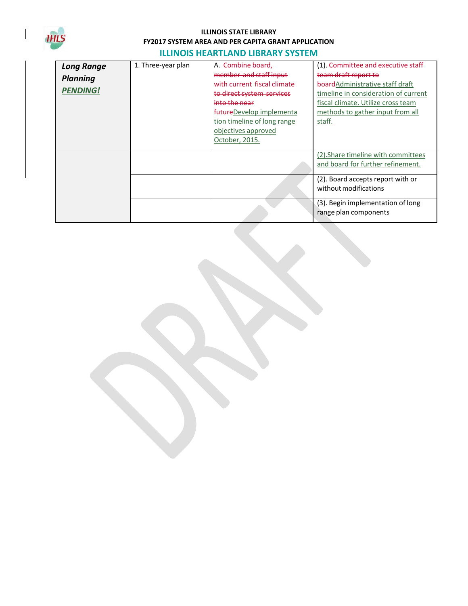

| <b>Long Range</b><br><b>Planning</b><br><b>PENDING!</b> | 1. Three-year plan | Combine board.<br>member and staff input<br>with current fiscal climate<br>to direct system services<br>into the near<br>futureDevelop implementa<br>tion timeline of long range<br>objectives approved<br>October, 2015. | (1). <del>Committee and executive staff</del><br>team draft report to<br>board Administrative staff draft<br>timeline in consideration of current<br>fiscal climate. Utilize cross team<br>methods to gather input from all<br>staff. |
|---------------------------------------------------------|--------------------|---------------------------------------------------------------------------------------------------------------------------------------------------------------------------------------------------------------------------|---------------------------------------------------------------------------------------------------------------------------------------------------------------------------------------------------------------------------------------|
|                                                         |                    |                                                                                                                                                                                                                           | (2). Share timeline with committees<br>and board for further refinement.                                                                                                                                                              |
|                                                         |                    |                                                                                                                                                                                                                           | (2). Board accepts report with or<br>without modifications                                                                                                                                                                            |
|                                                         |                    |                                                                                                                                                                                                                           | (3). Begin implementation of long<br>range plan components                                                                                                                                                                            |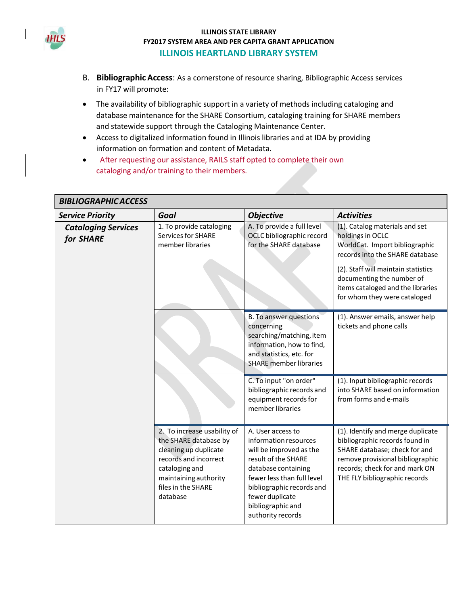

- B. **Bibliographic Access**: As a cornerstone of resource sharing, Bibliographic Access services in FY17 will promote:
- The availability of bibliographic support in a variety of methods including cataloging and database maintenance for the SHARE Consortium, cataloging training for SHARE members and statewide support through the Cataloging Maintenance Center.
- Access to digitalized information found in Illinois libraries and at IDA by providing information on formation and content of Metadata.
- After requesting our assistance, RAILS staff opted to complete their own cataloging and/or training to their members.

| <b>BIBLIOGRAPHIC ACCESS</b>             |                                                                                                                                                                                     |                                                                                                                                                                                                                                             |                                                                                                                                                                                                             |  |  |
|-----------------------------------------|-------------------------------------------------------------------------------------------------------------------------------------------------------------------------------------|---------------------------------------------------------------------------------------------------------------------------------------------------------------------------------------------------------------------------------------------|-------------------------------------------------------------------------------------------------------------------------------------------------------------------------------------------------------------|--|--|
| <b>Service Priority</b>                 | Goal                                                                                                                                                                                | <b>Objective</b>                                                                                                                                                                                                                            | <b>Activities</b>                                                                                                                                                                                           |  |  |
| <b>Cataloging Services</b><br>for SHARE | 1. To provide cataloging<br><b>Services for SHARE</b><br>member libraries                                                                                                           | A. To provide a full level<br>OCLC bibliographic record<br>for the SHARE database                                                                                                                                                           | (1). Catalog materials and set<br>holdings in OCLC<br>WorldCat. Import bibliographic<br>records into the SHARE database                                                                                     |  |  |
|                                         |                                                                                                                                                                                     |                                                                                                                                                                                                                                             | (2). Staff will maintain statistics<br>documenting the number of<br>items cataloged and the libraries<br>for whom they were cataloged                                                                       |  |  |
|                                         |                                                                                                                                                                                     | B. To answer questions<br>concerning<br>searching/matching, item<br>information, how to find,<br>and statistics, etc. for<br><b>SHARE</b> member libraries                                                                                  | (1). Answer emails, answer help<br>tickets and phone calls                                                                                                                                                  |  |  |
|                                         |                                                                                                                                                                                     | C. To input "on order"<br>bibliographic records and<br>equipment records for<br>member libraries                                                                                                                                            | (1). Input bibliographic records<br>into SHARE based on information<br>from forms and e-mails                                                                                                               |  |  |
|                                         | 2. To increase usability of<br>the SHARE database by<br>cleaning up duplicate<br>records and incorrect<br>cataloging and<br>maintaining authority<br>files in the SHARE<br>database | A. User access to<br>information resources<br>will be improved as the<br>result of the SHARE<br>database containing<br>fewer less than full level<br>bibliographic records and<br>fewer duplicate<br>bibliographic and<br>authority records | (1). Identify and merge duplicate<br>bibliographic records found in<br>SHARE database; check for and<br>remove provisional bibliographic<br>records; check for and mark ON<br>THE FLY bibliographic records |  |  |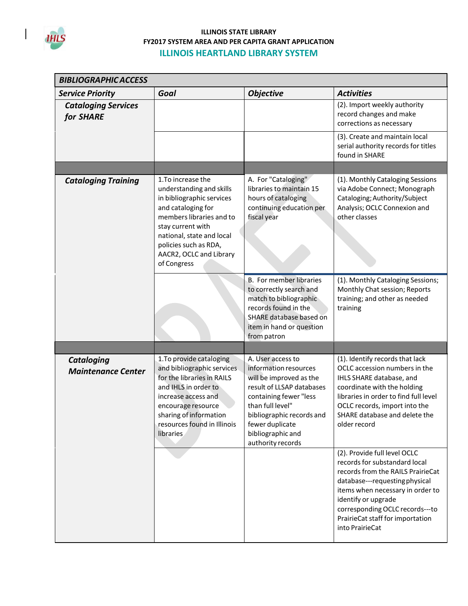

 $\mathsf{I}$ 

| <b>BIBLIOGRAPHIC ACCESS</b>                    |                                                                                                                                                                                                                                                    |                                                                                                                                                                                                                                            |                                                                                                                                                                                                                                                                                           |  |
|------------------------------------------------|----------------------------------------------------------------------------------------------------------------------------------------------------------------------------------------------------------------------------------------------------|--------------------------------------------------------------------------------------------------------------------------------------------------------------------------------------------------------------------------------------------|-------------------------------------------------------------------------------------------------------------------------------------------------------------------------------------------------------------------------------------------------------------------------------------------|--|
| <b>Service Priority</b>                        | Goal                                                                                                                                                                                                                                               | <b>Objective</b>                                                                                                                                                                                                                           | <b>Activities</b>                                                                                                                                                                                                                                                                         |  |
| <b>Cataloging Services</b><br>for SHARE        |                                                                                                                                                                                                                                                    |                                                                                                                                                                                                                                            | (2). Import weekly authority<br>record changes and make<br>corrections as necessary                                                                                                                                                                                                       |  |
|                                                |                                                                                                                                                                                                                                                    |                                                                                                                                                                                                                                            | (3). Create and maintain local<br>serial authority records for titles<br>found in SHARE                                                                                                                                                                                                   |  |
|                                                |                                                                                                                                                                                                                                                    |                                                                                                                                                                                                                                            |                                                                                                                                                                                                                                                                                           |  |
| <b>Cataloging Training</b>                     | 1. To increase the<br>understanding and skills<br>in bibliographic services<br>and cataloging for<br>members libraries and to<br>stay current with<br>national, state and local<br>policies such as RDA,<br>AACR2, OCLC and Library<br>of Congress | A. For "Cataloging"<br>libraries to maintain 15<br>hours of cataloging<br>continuing education per<br>fiscal year                                                                                                                          | (1). Monthly Cataloging Sessions<br>via Adobe Connect; Monograph<br>Cataloging; Authority/Subject<br>Analysis; OCLC Connexion and<br>other classes                                                                                                                                        |  |
|                                                |                                                                                                                                                                                                                                                    | B. For member libraries<br>to correctly search and<br>match to bibliographic<br>records found in the<br>SHARE database based on<br>item in hand or question<br>from patron                                                                 | (1). Monthly Cataloging Sessions;<br>Monthly Chat session; Reports<br>training; and other as needed<br>training                                                                                                                                                                           |  |
|                                                |                                                                                                                                                                                                                                                    |                                                                                                                                                                                                                                            |                                                                                                                                                                                                                                                                                           |  |
| <b>Cataloging</b><br><b>Maintenance Center</b> | 1. To provide cataloging<br>and bibliographic services<br>for the libraries in RAILS<br>and IHLS in order to<br>increase access and<br>encourage resource<br>sharing of information<br>resources found in Illinois<br>libraries                    | A. User access to<br>information resources<br>will be improved as the<br>result of LLSAP databases<br>containing fewer "less<br>than full level"<br>bibliographic records and<br>fewer duplicate<br>bibliographic and<br>authority records | (1). Identify records that lack<br>OCLC accession numbers in the<br>IHLS SHARE database, and<br>coordinate with the holding<br>libraries in order to find full level<br>OCLC records, import into the<br>SHARE database and delete the<br>older record                                    |  |
|                                                |                                                                                                                                                                                                                                                    |                                                                                                                                                                                                                                            | (2). Provide full level OCLC<br>records for substandard local<br>records from the RAILS PrairieCat<br>database---requesting physical<br>items when necessary in order to<br>identify or upgrade<br>corresponding OCLC records---to<br>PrairieCat staff for importation<br>into PrairieCat |  |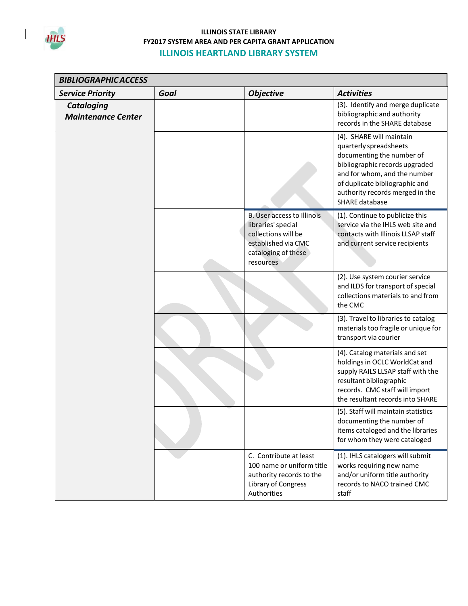

 $\vert$ 

| <b>BIBLIOGRAPHIC ACCESS</b>                    |      |                                                                                                                                    |                                                                                                                                                                                                                                                 |  |
|------------------------------------------------|------|------------------------------------------------------------------------------------------------------------------------------------|-------------------------------------------------------------------------------------------------------------------------------------------------------------------------------------------------------------------------------------------------|--|
| <b>Service Priority</b>                        | Goal | <b>Objective</b>                                                                                                                   | <b>Activities</b>                                                                                                                                                                                                                               |  |
| <b>Cataloging</b><br><b>Maintenance Center</b> |      |                                                                                                                                    | (3). Identify and merge duplicate<br>bibliographic and authority<br>records in the SHARE database                                                                                                                                               |  |
|                                                |      |                                                                                                                                    | (4). SHARE will maintain<br>quarterly spreadsheets<br>documenting the number of<br>bibliographic records upgraded<br>and for whom, and the number<br>of duplicate bibliographic and<br>authority records merged in the<br><b>SHARE database</b> |  |
|                                                |      | B. User access to Illinois<br>libraries' special<br>collections will be<br>established via CMC<br>cataloging of these<br>resources | (1). Continue to publicize this<br>service via the IHLS web site and<br>contacts with Illinois LLSAP staff<br>and current service recipients                                                                                                    |  |
|                                                |      |                                                                                                                                    | (2). Use system courier service<br>and ILDS for transport of special<br>collections materials to and from<br>the CMC                                                                                                                            |  |
|                                                |      |                                                                                                                                    | (3). Travel to libraries to catalog<br>materials too fragile or unique for<br>transport via courier                                                                                                                                             |  |
|                                                |      |                                                                                                                                    | (4). Catalog materials and set<br>holdings in OCLC WorldCat and<br>supply RAILS LLSAP staff with the<br>resultant bibliographic<br>records. CMC staff will import<br>the resultant records into SHARE                                           |  |
|                                                |      |                                                                                                                                    | (5). Staff will maintain statistics<br>documenting the number of<br>items cataloged and the libraries<br>for whom they were cataloged                                                                                                           |  |
|                                                |      | C. Contribute at least<br>100 name or uniform title<br>authority records to the<br>Library of Congress<br>Authorities              | (1). IHLS catalogers will submit<br>works requiring new name<br>and/or uniform title authority<br>records to NACO trained CMC<br>staff                                                                                                          |  |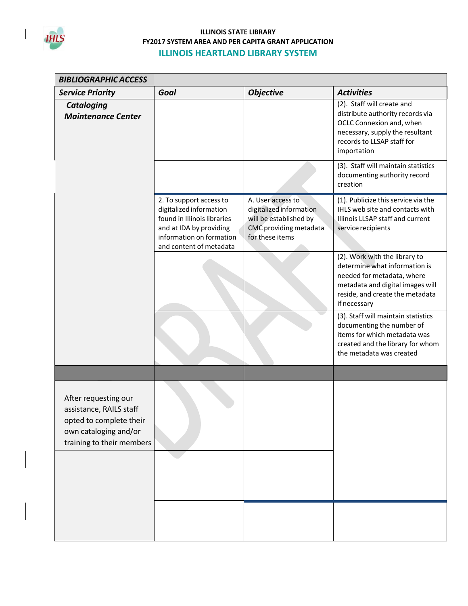

| <b>BIBLIOGRAPHIC ACCESS</b>                                                                                                      |                                                                                                                                                                     |                                                                                                                     |                                                                                                                                                                                     |
|----------------------------------------------------------------------------------------------------------------------------------|---------------------------------------------------------------------------------------------------------------------------------------------------------------------|---------------------------------------------------------------------------------------------------------------------|-------------------------------------------------------------------------------------------------------------------------------------------------------------------------------------|
| <b>Service Priority</b>                                                                                                          | Goal                                                                                                                                                                | <b>Objective</b>                                                                                                    | <b>Activities</b>                                                                                                                                                                   |
| <b>Cataloging</b><br><b>Maintenance Center</b>                                                                                   |                                                                                                                                                                     |                                                                                                                     | (2). Staff will create and<br>distribute authority records via<br>OCLC Connexion and, when<br>necessary, supply the resultant<br>records to LLSAP staff for<br>importation          |
|                                                                                                                                  |                                                                                                                                                                     |                                                                                                                     | (3). Staff will maintain statistics<br>documenting authority record<br>creation                                                                                                     |
|                                                                                                                                  | 2. To support access to<br>digitalized information<br>found in Illinois libraries<br>and at IDA by providing<br>information on formation<br>and content of metadata | A. User access to<br>digitalized information<br>will be established by<br>CMC providing metadata<br>for these items | (1). Publicize this service via the<br>IHLS web site and contacts with<br>Illinois LLSAP staff and current<br>service recipients                                                    |
|                                                                                                                                  |                                                                                                                                                                     |                                                                                                                     | (2). Work with the library to<br>determine what information is<br>needed for metadata, where<br>metadata and digital images will<br>reside, and create the metadata<br>if necessary |
|                                                                                                                                  |                                                                                                                                                                     |                                                                                                                     | (3). Staff will maintain statistics<br>documenting the number of<br>items for which metadata was<br>created and the library for whom<br>the metadata was created                    |
|                                                                                                                                  |                                                                                                                                                                     |                                                                                                                     |                                                                                                                                                                                     |
| After requesting our<br>assistance, RAILS staff<br>opted to complete their<br>own cataloging and/or<br>training to their members |                                                                                                                                                                     |                                                                                                                     |                                                                                                                                                                                     |
|                                                                                                                                  |                                                                                                                                                                     |                                                                                                                     |                                                                                                                                                                                     |
|                                                                                                                                  |                                                                                                                                                                     |                                                                                                                     |                                                                                                                                                                                     |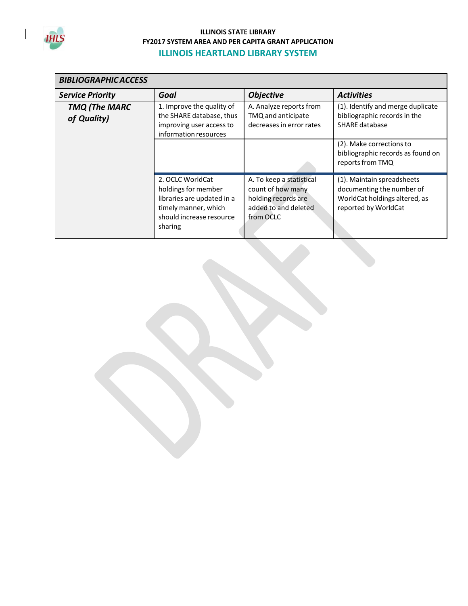

| <b>BIBLIOGRAPHIC ACCESS</b>         |                                                                                                                                      |                                                                                                           |                                                                                                                  |  |
|-------------------------------------|--------------------------------------------------------------------------------------------------------------------------------------|-----------------------------------------------------------------------------------------------------------|------------------------------------------------------------------------------------------------------------------|--|
| <b>Service Priority</b>             | Goal                                                                                                                                 | <b>Objective</b>                                                                                          | <b>Activities</b>                                                                                                |  |
| <b>TMQ (The MARC</b><br>of Quality) | 1. Improve the quality of<br>the SHARE database, thus<br>improving user access to<br>information resources                           | A. Analyze reports from<br>TMQ and anticipate<br>decreases in error rates                                 | (1). Identify and merge duplicate<br>bibliographic records in the<br><b>SHARE database</b>                       |  |
|                                     |                                                                                                                                      |                                                                                                           | (2). Make corrections to<br>bibliographic records as found on<br>reports from TMQ                                |  |
|                                     | 2. OCLC WorldCat<br>holdings for member<br>libraries are updated in a<br>timely manner, which<br>should increase resource<br>sharing | A. To keep a statistical<br>count of how many<br>holding records are<br>added to and deleted<br>from OCLC | (1). Maintain spreadsheets<br>documenting the number of<br>WorldCat holdings altered, as<br>reported by WorldCat |  |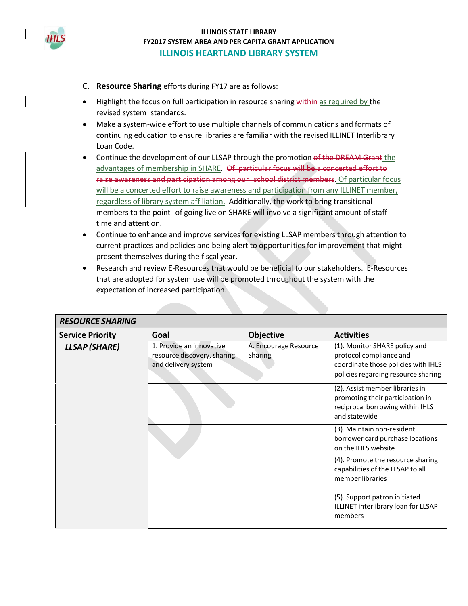

- C. **Resource Sharing** efforts during FY17 are as follows:
- Highlight the focus on full participation in resource sharing within as required by the revised system standards.
- Make a system-wide effort to use multiple channels of communications and formats of continuing education to ensure libraries are familiar with the revised ILLINET Interlibrary Loan Code.
- Continue the development of our LLSAP through the promotion of the DREAM Grant the advantages of membership in SHARE. Of particular focus will be a concerted effort to raise awareness and participation among our school district members. Of particular focus will be a concerted effort to raise awareness and participation from any ILLINET member, regardless of library system affiliation. Additionally, the work to bring transitional members to the point of going live on SHARE will involve a significant amount ofstaff time and attention.
- Continue to enhance and improve services for existing LLSAP members through attention to current practices and policies and being alert to opportunities for improvement that might present themselves during the fiscal year.
- Research and review E-Resources that would be beneficial to our stakeholders. E-Resources that are adopted for system use will be promoted throughout the system with the expectation of increased participation.

| <b>RESOURCE SHARING</b> |                                                                                |                                  |                                                                                                                                        |  |
|-------------------------|--------------------------------------------------------------------------------|----------------------------------|----------------------------------------------------------------------------------------------------------------------------------------|--|
| <b>Service Priority</b> | Goal                                                                           | Objective                        | <b>Activities</b>                                                                                                                      |  |
| <b>LLSAP</b> (SHARE)    | 1. Provide an innovative<br>resource discovery, sharing<br>and delivery system | A. Encourage Resource<br>Sharing | (1). Monitor SHARE policy and<br>protocol compliance and<br>coordinate those policies with IHLS<br>policies regarding resource sharing |  |
|                         |                                                                                |                                  | (2). Assist member libraries in<br>promoting their participation in<br>reciprocal borrowing within IHLS<br>and statewide               |  |
|                         |                                                                                |                                  | (3). Maintain non-resident<br>borrower card purchase locations<br>on the IHLS website                                                  |  |
|                         |                                                                                |                                  | (4). Promote the resource sharing<br>capabilities of the LLSAP to all<br>member libraries                                              |  |
|                         |                                                                                |                                  | (5). Support patron initiated<br>ILLINET interlibrary loan for LLSAP<br>members                                                        |  |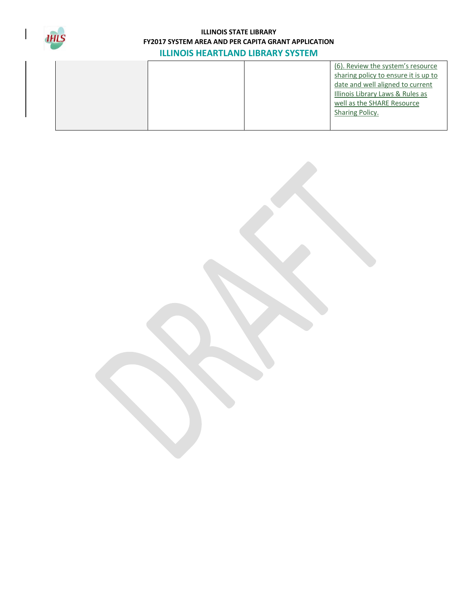

|  |  | (6). Review the system's resource    |
|--|--|--------------------------------------|
|  |  | sharing policy to ensure it is up to |
|  |  | date and well aligned to current     |
|  |  | Illinois Library Laws & Rules as     |
|  |  | well as the SHARE Resource           |
|  |  | Sharing Policy.                      |
|  |  |                                      |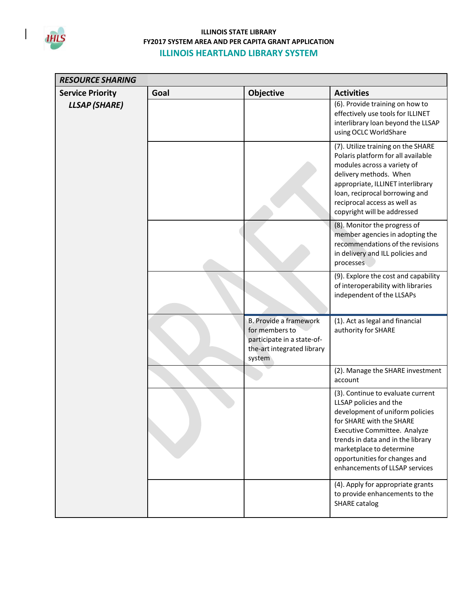

 $\mathsf{I}$ 

| <b>RESOURCE SHARING</b> |      |                                                                                                                       |                                                                                                                                                                                                                                                                                                |
|-------------------------|------|-----------------------------------------------------------------------------------------------------------------------|------------------------------------------------------------------------------------------------------------------------------------------------------------------------------------------------------------------------------------------------------------------------------------------------|
| <b>Service Priority</b> | Goal | Objective                                                                                                             | <b>Activities</b>                                                                                                                                                                                                                                                                              |
| <b>LLSAP</b> (SHARE)    |      |                                                                                                                       | (6). Provide training on how to<br>effectively use tools for ILLINET<br>interlibrary loan beyond the LLSAP<br>using OCLC WorldShare                                                                                                                                                            |
|                         |      |                                                                                                                       | (7). Utilize training on the SHARE<br>Polaris platform for all available<br>modules across a variety of<br>delivery methods. When<br>appropriate, ILLINET interlibrary<br>loan, reciprocal borrowing and<br>reciprocal access as well as<br>copyright will be addressed                        |
|                         |      |                                                                                                                       | (8). Monitor the progress of<br>member agencies in adopting the<br>recommendations of the revisions<br>in delivery and ILL policies and<br>processes.                                                                                                                                          |
|                         |      |                                                                                                                       | (9). Explore the cost and capability<br>of interoperability with libraries<br>independent of the LLSAPs                                                                                                                                                                                        |
|                         |      | <b>B. Provide a framework</b><br>for members to<br>participate in a state-of-<br>the-art integrated library<br>system | (1). Act as legal and financial<br>authority for SHARE                                                                                                                                                                                                                                         |
|                         |      |                                                                                                                       | (2). Manage the SHARE investment<br>account                                                                                                                                                                                                                                                    |
|                         |      |                                                                                                                       | (3). Continue to evaluate current<br>LLSAP policies and the<br>development of uniform policies<br>for SHARE with the SHARE<br>Executive Committee. Analyze<br>trends in data and in the library<br>marketplace to determine<br>opportunities for changes and<br>enhancements of LLSAP services |
|                         |      |                                                                                                                       | (4). Apply for appropriate grants<br>to provide enhancements to the<br><b>SHARE catalog</b>                                                                                                                                                                                                    |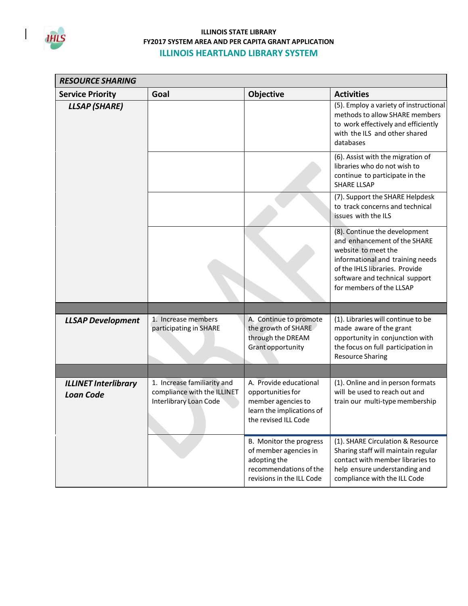

 $\mathsf{I}$ 

| <b>RESOURCE SHARING</b>                         |                                                                                      |                                                                                                                         |                                                                                                                                                                                                                          |  |
|-------------------------------------------------|--------------------------------------------------------------------------------------|-------------------------------------------------------------------------------------------------------------------------|--------------------------------------------------------------------------------------------------------------------------------------------------------------------------------------------------------------------------|--|
| <b>Service Priority</b>                         | Goal                                                                                 | Objective                                                                                                               | <b>Activities</b>                                                                                                                                                                                                        |  |
| <b>LLSAP</b> (SHARE)                            |                                                                                      |                                                                                                                         | (5). Employ a variety of instructional<br>methods to allow SHARE members<br>to work effectively and efficiently<br>with the ILS and other shared<br>databases                                                            |  |
|                                                 |                                                                                      |                                                                                                                         | (6). Assist with the migration of<br>libraries who do not wish to<br>continue to participate in the<br><b>SHARE LLSAP</b>                                                                                                |  |
|                                                 |                                                                                      |                                                                                                                         | (7). Support the SHARE Helpdesk<br>to track concerns and technical<br>issues with the ILS                                                                                                                                |  |
|                                                 |                                                                                      |                                                                                                                         | (8). Continue the development<br>and enhancement of the SHARE<br>website to meet the<br>informational and training needs<br>of the IHLS libraries. Provide<br>software and technical support<br>for members of the LLSAP |  |
|                                                 |                                                                                      |                                                                                                                         |                                                                                                                                                                                                                          |  |
| <b>LLSAP Development</b>                        | 1. Increase members<br>participating in SHARE                                        | A. Continue to promote<br>the growth of SHARE<br>through the DREAM<br>Grant opportunity                                 | (1). Libraries will continue to be<br>made aware of the grant<br>opportunity in conjunction with<br>the focus on full participation in<br><b>Resource Sharing</b>                                                        |  |
|                                                 |                                                                                      |                                                                                                                         |                                                                                                                                                                                                                          |  |
| <b>ILLINET Interlibrary</b><br><b>Loan Code</b> | 1. Increase familiarity and<br>compliance with the ILLINET<br>Interlibrary Loan Code | A. Provide educational<br>opportunities for<br>member agencies to<br>learn the implications of<br>the revised ILL Code  | (1). Online and in person formats<br>will be used to reach out and<br>train our multi-type membership                                                                                                                    |  |
|                                                 |                                                                                      | B. Monitor the progress<br>of member agencies in<br>adopting the<br>recommendations of the<br>revisions in the ILL Code | (1). SHARE Circulation & Resource<br>Sharing staff will maintain regular<br>contact with member libraries to<br>help ensure understanding and<br>compliance with the ILL Code                                            |  |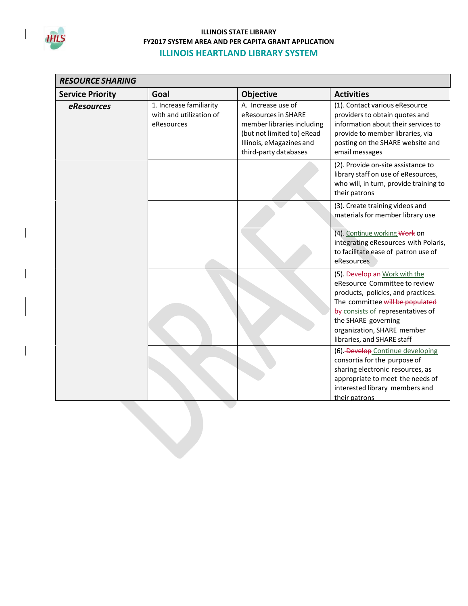

| <b>RESOURCE SHARING</b> |                                                                  |                                                                                                                                                            |                                                                                                                                                                                                                                                                 |  |
|-------------------------|------------------------------------------------------------------|------------------------------------------------------------------------------------------------------------------------------------------------------------|-----------------------------------------------------------------------------------------------------------------------------------------------------------------------------------------------------------------------------------------------------------------|--|
| <b>Service Priority</b> | Goal                                                             | <b>Objective</b>                                                                                                                                           | <b>Activities</b>                                                                                                                                                                                                                                               |  |
| eResources              | 1. Increase familiarity<br>with and utilization of<br>eResources | A. Increase use of<br>eResources in SHARE<br>member libraries including<br>(but not limited to) eRead<br>Illinois, eMagazines and<br>third-party databases | (1). Contact various eResource<br>providers to obtain quotes and<br>information about their services to<br>provide to member libraries, via<br>posting on the SHARE website and<br>email messages                                                               |  |
|                         |                                                                  |                                                                                                                                                            | (2). Provide on-site assistance to<br>library staff on use of eResources,<br>who will, in turn, provide training to<br>their patrons                                                                                                                            |  |
|                         |                                                                  |                                                                                                                                                            | (3). Create training videos and<br>materials for member library use                                                                                                                                                                                             |  |
|                         |                                                                  |                                                                                                                                                            | (4). Continue working Work on<br>integrating eResources with Polaris,<br>to facilitate ease of patron use of<br>eResources                                                                                                                                      |  |
|                         |                                                                  |                                                                                                                                                            | (5). Develop an Work with the<br>eResource Committee to review<br>products, policies, and practices.<br>The committee will be populated<br>by consists of representatives of<br>the SHARE governing<br>organization, SHARE member<br>libraries, and SHARE staff |  |
|                         |                                                                  |                                                                                                                                                            | (6) Develop Continue developing<br>consortia for the purpose of<br>sharing electronic resources, as<br>appropriate to meet the needs of<br>interested library members and<br>their patrons                                                                      |  |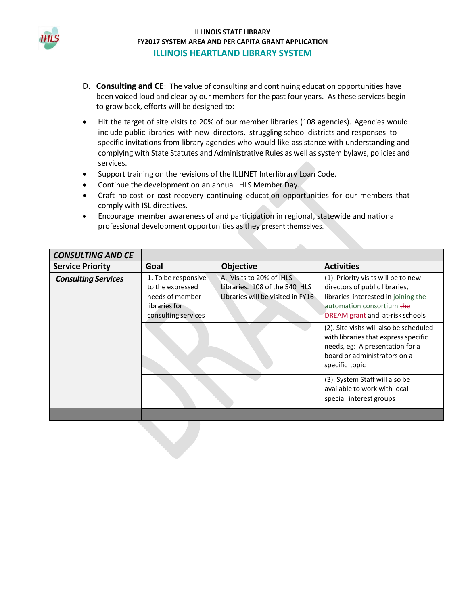

- D. **Consulting and CE**: The value of consulting and continuing education opportunities have been voiced loud and clear by our members for the past four years. As these services begin to grow back, efforts will be designed to:
- Hit the target of site visits to 20% of our member libraries (108 agencies). Agencies would include public libraries with new directors, struggling school districts and responses to specific invitations from library agencies who would like assistance with understanding and complying with State Statutes and Administrative Rules as well assystem bylaws, policies and services.
- Support training on the revisions of the ILLINET Interlibrary Loan Code.
- Continue the development on an annual IHLS Member Day.
- Craft no-cost or cost-recovery continuing education opportunities for our members that comply with ISL directives.
- Encourage member awareness of and participation in regional, statewide and national professional development opportunities as they present themselves.

| <b>CONSULTING AND CE</b>   |                                                                                                    |                                                                                                 |                                                                                                                                                                                     |
|----------------------------|----------------------------------------------------------------------------------------------------|-------------------------------------------------------------------------------------------------|-------------------------------------------------------------------------------------------------------------------------------------------------------------------------------------|
| <b>Service Priority</b>    | Goal                                                                                               | <b>Objective</b>                                                                                | <b>Activities</b>                                                                                                                                                                   |
| <b>Consulting Services</b> | 1. To be responsive<br>to the expressed<br>needs of member<br>libraries for<br>consulting services | A. Visits to 20% of IHLS<br>Libraries. 108 of the 540 IHLS<br>Libraries will be visited in FY16 | (1). Priority visits will be to new<br>directors of public libraries,<br>libraries interested in joining the<br>automation consortium the<br><b>DREAM grant</b> and at-risk schools |
|                            |                                                                                                    |                                                                                                 | (2). Site visits will also be scheduled<br>with libraries that express specific<br>needs, eg: A presentation for a<br>board or administrators on a<br>specific topic                |
|                            |                                                                                                    |                                                                                                 | (3). System Staff will also be<br>available to work with local<br>special interest groups                                                                                           |
|                            |                                                                                                    |                                                                                                 |                                                                                                                                                                                     |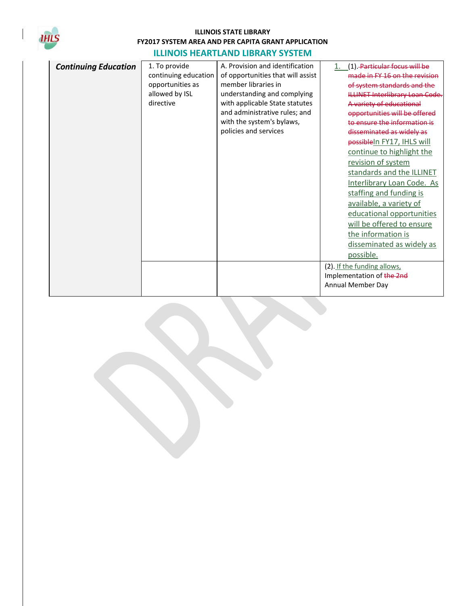

| <b>Continuing Education</b> | 1. To provide        | A. Provision and identification   | (1). Particular focus will be         |
|-----------------------------|----------------------|-----------------------------------|---------------------------------------|
|                             | continuing education | of opportunities that will assist | made in FY 16 on the revision         |
|                             | opportunities as     | member libraries in               | of system standards and the           |
|                             | allowed by ISL       | understanding and complying       | <b>ILLINET Interlibrary Loan Code</b> |
|                             | directive            | with applicable State statutes    | A variety of educational              |
|                             |                      | and administrative rules; and     | opportunities will be offered         |
|                             |                      | with the system's bylaws,         | to ensure the information is          |
|                             |                      | policies and services             | disseminated as widely as             |
|                             |                      |                                   | possible In FY17, IHLS will           |
|                             |                      |                                   | continue to highlight the             |
|                             |                      |                                   | revision of system                    |
|                             |                      |                                   | standards and the ILLINET             |
|                             |                      |                                   | Interlibrary Loan Code. As            |
|                             |                      |                                   | staffing and funding is               |
|                             |                      |                                   | available, a variety of               |
|                             |                      |                                   | educational opportunities             |
|                             |                      |                                   | will be offered to ensure             |
|                             |                      |                                   | the information is                    |
|                             |                      |                                   | disseminated as widely as             |
|                             |                      |                                   | possible.                             |
|                             |                      |                                   |                                       |
|                             |                      |                                   | (2). If the funding allows,           |
|                             |                      |                                   | Implementation of the 2nd             |
|                             |                      |                                   | Annual Member Day                     |
|                             |                      |                                   |                                       |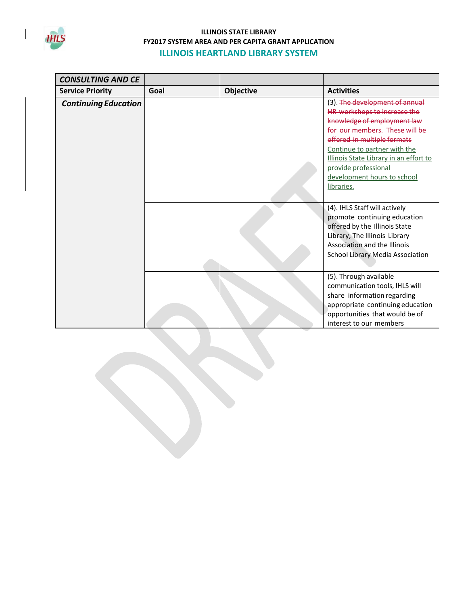

| <b>CONSULTING AND CE</b>    |      |                  |                                        |
|-----------------------------|------|------------------|----------------------------------------|
| <b>Service Priority</b>     | Goal | <b>Objective</b> | <b>Activities</b>                      |
| <b>Continuing Education</b> |      |                  | (3). The development of annual         |
|                             |      |                  | HR workshops to increase the           |
|                             |      |                  | knowledge of employment law            |
|                             |      |                  | for our members. These will be         |
|                             |      |                  | offered in multiple formats            |
|                             |      |                  | Continue to partner with the           |
|                             |      |                  | Illinois State Library in an effort to |
|                             |      |                  | provide professional                   |
|                             |      |                  | development hours to school            |
|                             |      |                  | libraries.                             |
|                             |      |                  |                                        |
|                             |      |                  | (4). IHLS Staff will actively          |
|                             |      |                  | promote continuing education           |
|                             |      |                  | offered by the Illinois State          |
|                             |      |                  | Library, The Illinois Library          |
|                             |      |                  | Association and the Illinois           |
|                             |      |                  | School Library Media Association       |
|                             |      |                  |                                        |
|                             |      |                  | (5). Through available                 |
|                             |      |                  | communication tools, IHLS will         |
|                             |      |                  | share information regarding            |
|                             |      |                  | appropriate continuing education       |
|                             |      |                  | opportunities that would be of         |
|                             |      |                  | interest to our members                |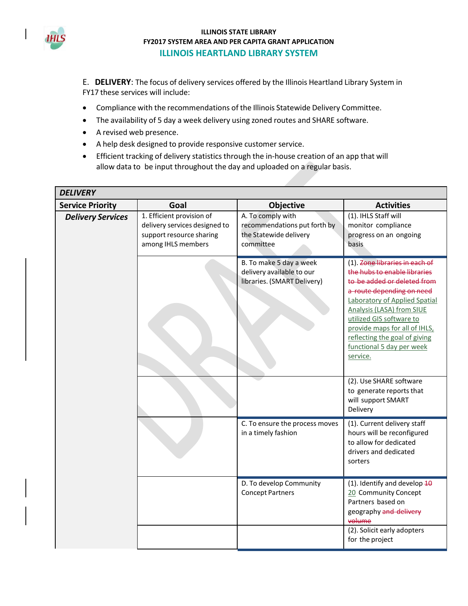

E. **DELIVERY**: The focus of delivery services offered by the Illinois Heartland Library System in FY17 these services will include:

- Compliance with the recommendations of the Illinois Statewide Delivery Committee.
- The availability of 5 day a week delivery using zoned routes and SHARE software.
- A revised web presence.
- A help desk designed to provide responsive customer service.
- Efficient tracking of delivery statistics through the in-house creation of an app that will allow data to be input throughout the day and uploaded on a regular basis.

| <b>DELIVERY</b>          |                                                                                                              |                                                                                          |                                                                                                                                                                                                                                                                                                                                 |
|--------------------------|--------------------------------------------------------------------------------------------------------------|------------------------------------------------------------------------------------------|---------------------------------------------------------------------------------------------------------------------------------------------------------------------------------------------------------------------------------------------------------------------------------------------------------------------------------|
| <b>Service Priority</b>  | Goal                                                                                                         | Objective                                                                                | <b>Activities</b>                                                                                                                                                                                                                                                                                                               |
| <b>Delivery Services</b> | 1. Efficient provision of<br>delivery services designed to<br>support resource sharing<br>among IHLS members | A. To comply with<br>recommendations put forth by<br>the Statewide delivery<br>committee | (1). IHLS Staff will<br>monitor compliance<br>progress on an ongoing<br>basis.                                                                                                                                                                                                                                                  |
|                          |                                                                                                              | B. To make 5 day a week<br>delivery available to our<br>libraries. (SMART Delivery)      | (1). Zone libraries in each of<br>the hubs to enable libraries<br>to be added or deleted from<br>a route depending on need<br>Laboratory of Applied Spatial<br>Analysis (LASA) from SIUE<br>utilized GIS software to<br>provide maps for all of IHLS,<br>reflecting the goal of giving<br>functional 5 day per week<br>service. |
|                          |                                                                                                              |                                                                                          | (2). Use SHARE software<br>to generate reports that<br>will support SMART<br>Delivery                                                                                                                                                                                                                                           |
|                          |                                                                                                              | C. To ensure the process moves<br>in a timely fashion                                    | (1). Current delivery staff<br>hours will be reconfigured<br>to allow for dedicated<br>drivers and dedicated<br>sorters                                                                                                                                                                                                         |
|                          |                                                                                                              | D. To develop Community<br><b>Concept Partners</b>                                       | (1). Identify and develop $\overline{40}$<br>20 Community Concept<br>Partners based on<br>geography and delivery<br>volume<br>(2). Solicit early adopters<br>for the project                                                                                                                                                    |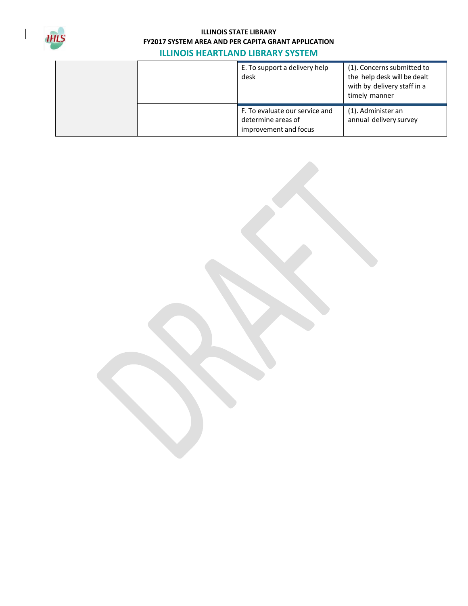

| E. To support a delivery help<br>desk                                         | (1). Concerns submitted to<br>the help desk will be dealt<br>with by delivery staff in a<br>timely manner |
|-------------------------------------------------------------------------------|-----------------------------------------------------------------------------------------------------------|
| F. To evaluate our service and<br>determine areas of<br>improvement and focus | (1). Administer an<br>annual delivery survey                                                              |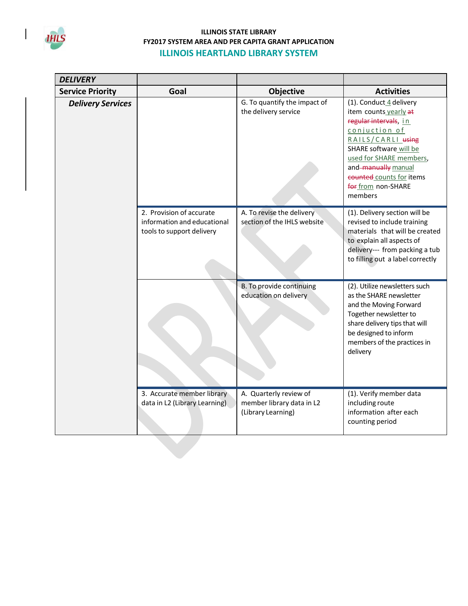

 $\mathsf{I}$ 

| <b>DELIVERY</b>          |                                                                                      |                                                                           |                                                                                                                                                                                                                                                          |
|--------------------------|--------------------------------------------------------------------------------------|---------------------------------------------------------------------------|----------------------------------------------------------------------------------------------------------------------------------------------------------------------------------------------------------------------------------------------------------|
| <b>Service Priority</b>  | Goal                                                                                 | Objective                                                                 | <b>Activities</b>                                                                                                                                                                                                                                        |
| <b>Delivery Services</b> |                                                                                      | G. To quantify the impact of<br>the delivery service                      | (1). Conduct 4 delivery<br>item counts yearly at<br>regular intervals, in<br>conjuction of<br>RAILS/CARLI using<br>SHARE software will be<br>used for SHARE members,<br>and-manually manual<br>counted counts for items<br>for from non-SHARE<br>members |
|                          | 2. Provision of accurate<br>information and educational<br>tools to support delivery | A. To revise the delivery<br>section of the IHLS website                  | (1). Delivery section will be<br>revised to include training<br>materials that will be created<br>to explain all aspects of<br>delivery--- from packing a tub<br>to filling out a label correctly                                                        |
|                          |                                                                                      | B. To provide continuing<br>education on delivery                         | (2). Utilize newsletters such<br>as the SHARE newsletter<br>and the Moving Forward<br>Together newsletter to<br>share delivery tips that will<br>be designed to inform<br>members of the practices in<br>delivery                                        |
|                          | 3. Accurate member library<br>data in L2 (Library Learning)                          | A. Quarterly review of<br>member library data in L2<br>(Library Learning) | (1). Verify member data<br>including route<br>information after each<br>counting period                                                                                                                                                                  |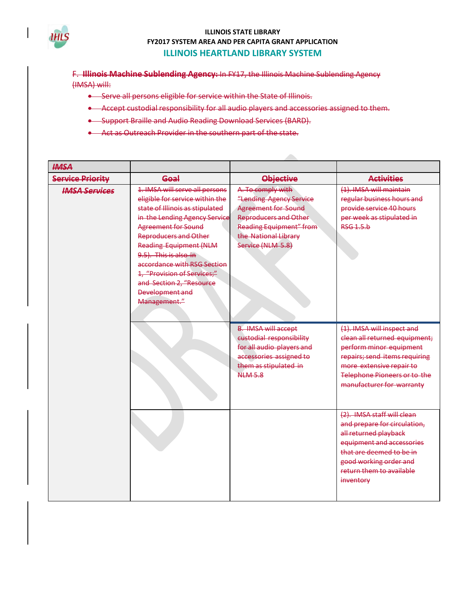

F. **Illinois Machine Sublending Agency:** In FY17, the Illinois Machine Sublending Agency (IMSA) will:

- **.** Serve all persons eligible for service within the State of Illinois.
- Accept custodial responsibility for all audio players and accessories assigned to them.
- **•** Support Braille and Audio Reading Download Services (BARD).
- Act as Outreach Provider in the southern part of the state.

| <b>HMSA</b>             |                                                                                                                                                                                                                                                                                                                                                                                            |                                                                                                                                                                                           |                                                                                                                                                                                                                  |
|-------------------------|--------------------------------------------------------------------------------------------------------------------------------------------------------------------------------------------------------------------------------------------------------------------------------------------------------------------------------------------------------------------------------------------|-------------------------------------------------------------------------------------------------------------------------------------------------------------------------------------------|------------------------------------------------------------------------------------------------------------------------------------------------------------------------------------------------------------------|
| <b>Service Priority</b> | Goal                                                                                                                                                                                                                                                                                                                                                                                       | <b>Objective</b>                                                                                                                                                                          | <b>Activities</b>                                                                                                                                                                                                |
| <b>IMSA Services</b>    | 1. IMSA will serve all persons<br>eligible for service within the<br>state of Illinois as stipulated<br>in the Lending Agency Service<br><b>Agreement for Sound</b><br><b>Reproducers and Other</b><br><b>Reading Equipment (NLM</b><br>9.5). This is also in<br>accordance with RSG Section<br>1. "Provision of Services;"<br>and Section 2, "Resource<br>Development and<br>Management." | A. To comply with<br>"Lending Agency Service<br><b>Agreement for Sound</b><br><b>Reproducers and Other</b><br><b>Reading Equipment" from</b><br>the National Library<br>Service (NLM 5.8) | (1). IMSA will maintain<br>regular business hours and<br>provide service 40 hours<br>per week as stipulated in<br>RSG1.5 <sub>b</sub>                                                                            |
|                         |                                                                                                                                                                                                                                                                                                                                                                                            | <b>B. IMSA will accept</b><br>custodial responsibility<br>for all audio players and<br>accessories assigned to<br>them as stipulated in<br><b>NLM 5.8</b>                                 | (1). IMSA will inspect and<br>clean all returned equipment;<br>perform minor equipment<br>repairs; send items requiring<br>more extensive repair to<br>Telephone Pioneers or to the<br>manufacturer for warranty |
|                         |                                                                                                                                                                                                                                                                                                                                                                                            |                                                                                                                                                                                           | (2). IMSA staff will clean<br>and prepare for circulation,<br>all returned playback<br>equipment and accessories<br>that are deemed to be in<br>good working order and<br>return them to available<br>inventory  |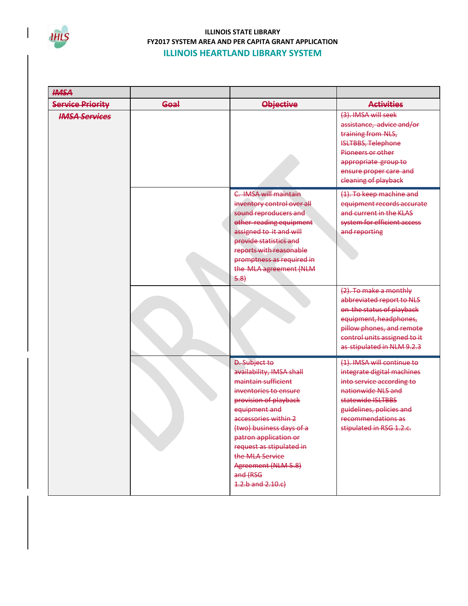

| <b>HMSA</b>             |      |                                                                                                                                                                                                                                                                                                                                   |                                                                                                                                                                                                                |
|-------------------------|------|-----------------------------------------------------------------------------------------------------------------------------------------------------------------------------------------------------------------------------------------------------------------------------------------------------------------------------------|----------------------------------------------------------------------------------------------------------------------------------------------------------------------------------------------------------------|
| <b>Service Priority</b> | Goal | <b>Objective</b>                                                                                                                                                                                                                                                                                                                  | <b>Activities</b>                                                                                                                                                                                              |
| <b>IMSA Services</b>    |      |                                                                                                                                                                                                                                                                                                                                   | (3). IMSA will seek<br>assistance, advice and/or<br>training from NLS,<br><b>ISLTBBS, Telephone</b><br>Pioneers or other<br>appropriate group to<br>ensure proper care and<br>cleaning of playback             |
|                         |      | C. IMSA will maintain<br>inventory control over all<br>sound reproducers and<br>other reading equipment<br>assigned to it and will<br>provide statistics and<br>reports with reasonable<br>promptness as required in<br>the MLA agreement (NLM<br>5.8                                                                             | (1). To keep machine and<br>equipment records accurate<br>and current in the KLAS<br>system for efficient access<br>and reporting                                                                              |
|                         |      |                                                                                                                                                                                                                                                                                                                                   | (2). To make a monthly<br>abbreviated report to NLS<br>on the status of playback<br>equipment, headphones,<br>pillow phones, and remote<br>control units assigned to it<br>as stipulated in NLM 9.2.3          |
|                         |      | <b>D.</b> Subject to<br>availability, IMSA shall<br>maintain sufficient<br>inventories to ensure<br>provision of playback<br>equipment and<br>accessories within 2<br>(two) business days of a<br>patron application or<br>request as stipulated in<br>the MLA Service<br>Agreement (NLM-5.8)<br>and (RSG<br>$4.2.b$ and $2.10.c$ | (1). IMSA will continue to<br>integrate digital machines<br>into service according to<br>nationwide NLS and<br>statewide ISLTBBS<br>guidelines, policies and<br>recommendations as<br>stipulated in RSG 1.2.c. |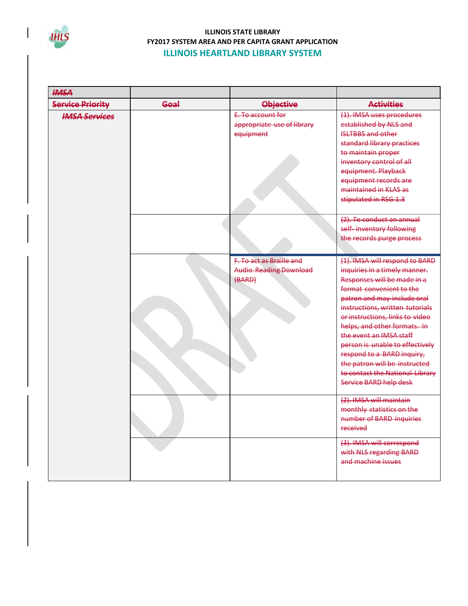

| <b>HMSA</b>             |      |                                                                     |                                                                                                                                                                                                                                                                                                                                                                                                                                                           |
|-------------------------|------|---------------------------------------------------------------------|-----------------------------------------------------------------------------------------------------------------------------------------------------------------------------------------------------------------------------------------------------------------------------------------------------------------------------------------------------------------------------------------------------------------------------------------------------------|
| <b>Service Priority</b> | Goal | <b>Objective</b>                                                    | <b>Activities</b>                                                                                                                                                                                                                                                                                                                                                                                                                                         |
| <b>IMSA Services</b>    |      | E. To account for<br>appropriate use of library<br>equipment        | (1). IMSA uses procedures<br>established by NLS and<br><b>ISLTBBS and other</b><br>standard library practices<br>to maintain proper<br>inventory control of all<br>equipment. Playback<br>equipment records are<br>maintained in KLAS as<br>stipulated in RSG 1.3                                                                                                                                                                                         |
|                         |      |                                                                     | (2). To conduct an annual<br>self-inventory following<br>the records purge process                                                                                                                                                                                                                                                                                                                                                                        |
|                         |      | F. To act as Braille and<br><b>Audio Reading Download</b><br>(BARD) | (1). IMSA will respond to BARD<br>inquiries in a timely manner.<br>Responses will be made in a<br>format convenient to the<br>patron and may include oral<br>instructions, written tutorials<br>or instructions, links to video<br>helps, and other formats. In<br>the event an IMSA staff<br>person is unable to effectively<br>respond to a BARD inquiry,<br>the patron will be instructed<br>to contact the National Library<br>Service BARD help desk |
|                         |      |                                                                     | (2). IMSA will maintain<br>monthly statistics on the<br>number of BARD inquiries<br>received<br>(3). IMSA will correspond<br>with NLS regarding BARD<br>and machine issues                                                                                                                                                                                                                                                                                |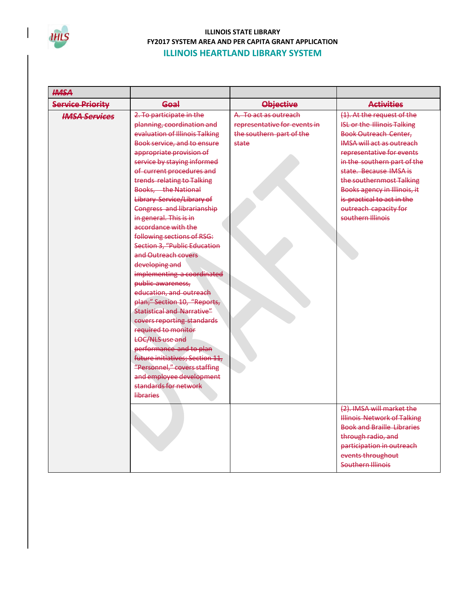

| <b>HMSA</b>             |                                                                                                                                                                                                                                                                                                                                                                                                                                                                                                                                                                                                                                                                                                                                                                                                                                                      |                                                                                            |                                                                                                                                                                                                                                                                                                                                                                    |
|-------------------------|------------------------------------------------------------------------------------------------------------------------------------------------------------------------------------------------------------------------------------------------------------------------------------------------------------------------------------------------------------------------------------------------------------------------------------------------------------------------------------------------------------------------------------------------------------------------------------------------------------------------------------------------------------------------------------------------------------------------------------------------------------------------------------------------------------------------------------------------------|--------------------------------------------------------------------------------------------|--------------------------------------------------------------------------------------------------------------------------------------------------------------------------------------------------------------------------------------------------------------------------------------------------------------------------------------------------------------------|
| <b>Service Priority</b> | Goal                                                                                                                                                                                                                                                                                                                                                                                                                                                                                                                                                                                                                                                                                                                                                                                                                                                 | <b>Objective</b>                                                                           | <b>Activities</b>                                                                                                                                                                                                                                                                                                                                                  |
| <b>IMSA Services</b>    | 2. To participate in the<br>planning, coordination and<br>evaluation of Illinois Talking<br>Book service, and to ensure<br>appropriate provision of<br>service by staying informed<br>of current procedures and<br>trends relating to Talking<br>Books. the National<br>Library Service/Library of<br>Congress and librarianship<br>in general. This is in<br>accordance with the<br>following sections of RSG:<br>Section 3, "Public Education<br>and Outreach covers<br>developing and<br>implementing a coordinated<br>public awareness,<br>education, and outreach<br>plan;" Section 10, "Reports,<br><b>Statistical and Narrative"</b><br>covers reporting standards<br>required to monitor<br><b>LOC/NLS</b> use and<br>performance and to plan<br>future initiatives; Section 11,<br>"Personnel," covers staffing<br>and employee development | A. To act as outreach<br>representative for events in<br>the southern part of the<br>state | (1). At the request of the<br><b>ISL or the Illinois Talking</b><br><b>Book Outreach Center,</b><br><b>IMSA will act as outreach</b><br>representative for events<br>in the southern part of the<br>state. Because IMSA is<br>the southernmost Talking<br>Books agency in Illinois, it<br>is practical to act in the<br>outreach capacity for<br>southern Illinois |
|                         | standards for network<br>libraries                                                                                                                                                                                                                                                                                                                                                                                                                                                                                                                                                                                                                                                                                                                                                                                                                   |                                                                                            | (2). IMSA will market the<br><b>Illinois Network of Talking</b><br><b>Book and Braille Libraries</b><br>through radio, and<br>participation in outreach<br>events throughout<br><b>Southern Illinois</b>                                                                                                                                                           |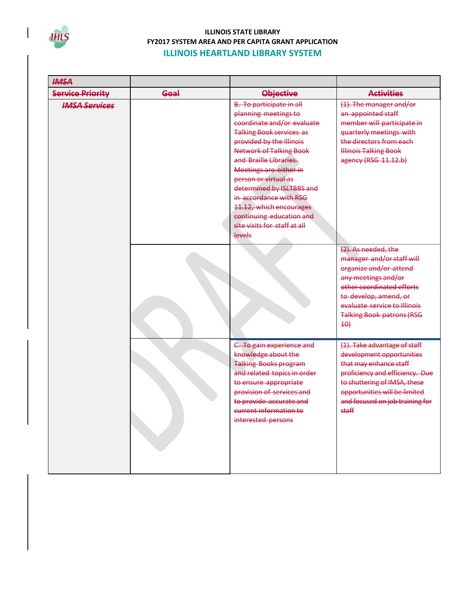

| <b>HMSA</b>             |      |                                                                                                                                                                                                                                                                                                                                                                                                                            |                                                                                                                                                                                                                                                                         |
|-------------------------|------|----------------------------------------------------------------------------------------------------------------------------------------------------------------------------------------------------------------------------------------------------------------------------------------------------------------------------------------------------------------------------------------------------------------------------|-------------------------------------------------------------------------------------------------------------------------------------------------------------------------------------------------------------------------------------------------------------------------|
| <b>Service Priority</b> | Goal | <b>Objective</b>                                                                                                                                                                                                                                                                                                                                                                                                           | <b>Activities</b>                                                                                                                                                                                                                                                       |
| <b>IMSA Services</b>    |      | <b>B.</b> To participate in all<br>planning meetings to<br>coordinate and/or evaluate<br><b>Talking Book services as</b><br>provided by the Illinois<br><b>Network of Talking Book</b><br>and Braille Libraries.<br>Meetings are either in<br>person or virtual as<br>determined by ISLTBBS and<br>in accordance with RSG<br>11.12, which encourages<br>continuing education and<br>site visits for staff at all<br>levels | (1). The manager and/or<br>an appointed staff<br>member will participate in<br>quarterly meetings with<br>the directors from each<br><b>Illinois Talking Book</b><br>agency (RSG 11.12.b)<br>(2). As needed, the<br>manager and/or staff will<br>organize and/or attend |
|                         |      |                                                                                                                                                                                                                                                                                                                                                                                                                            | any meetings and/or<br>other coordinated efforts<br>to develop, amend, or<br>evaluate service to Illinois<br><b>Talking Book patrons (RSG</b><br>$+0+$                                                                                                                  |
|                         |      | C. To gain experience and<br>knowledge about the<br><b>Talking Books program</b><br>and related topics in order<br>to ensure appropriate<br>provision of services and<br>to provide accurate and<br>current information to<br>interested persons                                                                                                                                                                           | (1). Take advantage of staff<br>development opportunities<br>that may enhance staff<br>proficiency and efficiency. Due<br>to shuttering of IMSA, these<br>opportunities will be limited<br>and focused on job training for<br>staff                                     |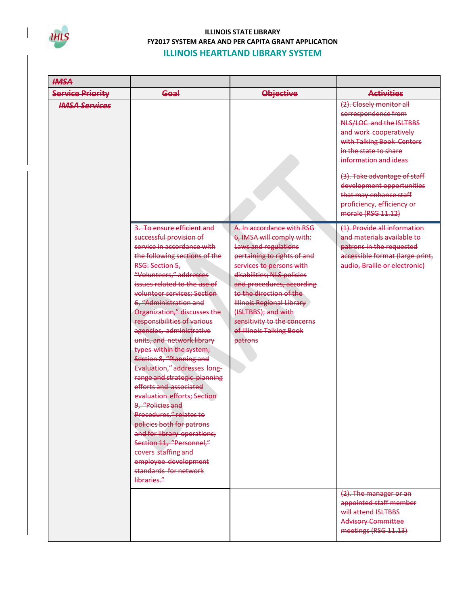

| <b>HMSA</b>             |                                                                                                                                                                                                                                                                                                                                                                                                                                                                                                                                                                                                                                                                                                                                                                                                     |                                                                                                                                                                                                                                                                                                                                                                  |                                                                                                                                                                                                                                                                                                                                |
|-------------------------|-----------------------------------------------------------------------------------------------------------------------------------------------------------------------------------------------------------------------------------------------------------------------------------------------------------------------------------------------------------------------------------------------------------------------------------------------------------------------------------------------------------------------------------------------------------------------------------------------------------------------------------------------------------------------------------------------------------------------------------------------------------------------------------------------------|------------------------------------------------------------------------------------------------------------------------------------------------------------------------------------------------------------------------------------------------------------------------------------------------------------------------------------------------------------------|--------------------------------------------------------------------------------------------------------------------------------------------------------------------------------------------------------------------------------------------------------------------------------------------------------------------------------|
| <b>Service Priority</b> | Goal                                                                                                                                                                                                                                                                                                                                                                                                                                                                                                                                                                                                                                                                                                                                                                                                | <b>Objective</b>                                                                                                                                                                                                                                                                                                                                                 | <b>Activities</b>                                                                                                                                                                                                                                                                                                              |
| <b>IMSA Services</b>    |                                                                                                                                                                                                                                                                                                                                                                                                                                                                                                                                                                                                                                                                                                                                                                                                     |                                                                                                                                                                                                                                                                                                                                                                  | (2). Closely monitor all<br>correspondence from<br>NLS/LOC and the ISLTBBS<br>and work cooperatively<br>with Talking Book Centers<br>in the state to share<br>information and ideas<br>(3). Take advantage of staff<br>development opportunities<br>that may enhance staff<br>proficiency, efficiency or<br>morale (RSG 11.12) |
|                         | 3. To ensure efficient and<br>successful provision of<br>service in accordance with<br>the following sections of the<br>RSG: Section 5.<br>"Volunteers," addresses<br>issues related to the use of<br>volunteer services; Section<br>6, "Administration and<br>Organization," discusses the<br>responsibilities of various<br>agencies, administrative<br>units, and network library<br>types within the system;<br>Section 8, "Planning and<br>Evaluation," addresses long-<br>range and strategic planning<br>efforts and associated<br>evaluation efforts; Section<br>9, "Policies and<br>Procedures," relates to<br>policies both for patrons<br>and for library operations;<br>Section 11, "Personnel,"<br>covers staffing and<br>employee development<br>standards for network<br>libraries." | A. In accordance with RSG<br>6, IMSA will comply with:<br>Laws and regulations<br>pertaining to rights of and<br>services to persons with<br>disabilities; NLS policies<br>and procedures, according<br>to the direction of the<br><b>Illinois Regional Library</b><br>(ISLTBBS); and with<br>sensitivity to the concerns<br>of Illinois Talking Book<br>patrons | (1). Provide all information<br>and materials available to<br>patrons in the requested<br>accessible format (large print,<br>audio, Braille or electronic)<br>(2). The manager or an<br>appointed staff member<br>will attend ISLTBBS                                                                                          |
|                         |                                                                                                                                                                                                                                                                                                                                                                                                                                                                                                                                                                                                                                                                                                                                                                                                     |                                                                                                                                                                                                                                                                                                                                                                  | <b>Advisory Committee</b><br>meetings (RSG 11.13)                                                                                                                                                                                                                                                                              |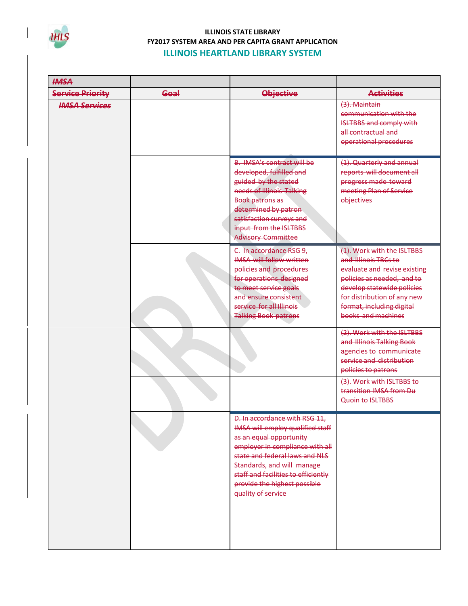

| <b>HMSA</b>             |      |                                                                                                                                                                                                                                                                                                     |                                                                                                                                                                                                                                  |
|-------------------------|------|-----------------------------------------------------------------------------------------------------------------------------------------------------------------------------------------------------------------------------------------------------------------------------------------------------|----------------------------------------------------------------------------------------------------------------------------------------------------------------------------------------------------------------------------------|
| <b>Service Priority</b> | Goal | <b>Objective</b>                                                                                                                                                                                                                                                                                    | <b>Activities</b>                                                                                                                                                                                                                |
| <b>IMSA Services</b>    |      |                                                                                                                                                                                                                                                                                                     | $(3)$ . Maintain<br>communication with the<br><b>ISLTBBS and comply with</b><br>all contractual and<br>operational procedures                                                                                                    |
|                         |      | <b>B. IMSA's contract will be</b><br>developed, fulfilled and<br>guided by the stated<br>needs of Illinois Talking<br><b>Book patrons as</b><br>determined by patron<br>satisfaction surveys and<br>input from the ISLTBBS<br><b>Advisory Committee</b>                                             | (1). Quarterly and annual<br>reports will document all<br>progress made toward<br>meeting Plan of Service<br>objectives                                                                                                          |
|                         |      | C. In accordance RSG 9,<br><b>IMSA</b> will follow written<br>policies and procedures<br>for operations designed<br>to meet service goals<br>and ensure consistent<br>service for all Illinois<br><b>Talking Book patrons</b>                                                                       | (1). Work with the ISLTBBS<br>and Illinois TBCs to<br>evaluate and revise existing<br>policies as needed, and to<br>develop statewide policies<br>for distribution of any new<br>format, including digital<br>books and machines |
|                         |      |                                                                                                                                                                                                                                                                                                     | (2). Work with the ISLTBBS<br>and Illinois Talking Book<br>agencies to communicate<br>service and distribution<br>policies to patrons<br>(3). Work with ISLTBBS to<br>transition IMSA from Du<br>Quoin to ISLTBBS                |
|                         |      | D. In accordance with RSG 11,<br><b>IMSA will employ qualified staff</b><br>as an equal opportunity<br>employer in compliance with all<br>state and federal laws and NLS<br>Standards, and will manage<br>staff and facilities to efficiently<br>provide the highest possible<br>quality of service |                                                                                                                                                                                                                                  |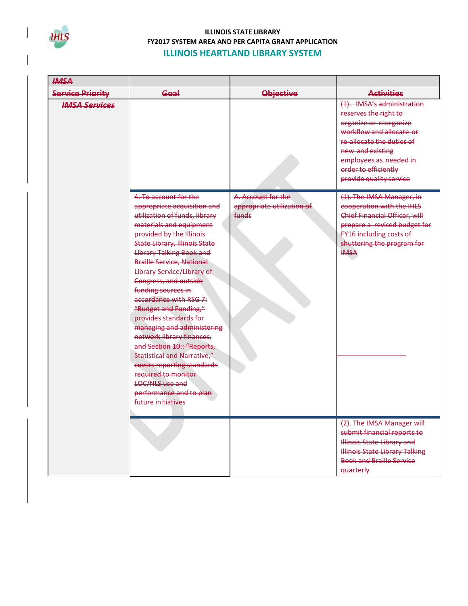

| <b>HMSA</b>             |                                                                                                                                                                                                                                                                                                                                                                                                                                                                                                                                                                                                                                                                                      |                                                           |                                                                                                                                                                                                                                         |
|-------------------------|--------------------------------------------------------------------------------------------------------------------------------------------------------------------------------------------------------------------------------------------------------------------------------------------------------------------------------------------------------------------------------------------------------------------------------------------------------------------------------------------------------------------------------------------------------------------------------------------------------------------------------------------------------------------------------------|-----------------------------------------------------------|-----------------------------------------------------------------------------------------------------------------------------------------------------------------------------------------------------------------------------------------|
| <b>Service Priority</b> | Goal                                                                                                                                                                                                                                                                                                                                                                                                                                                                                                                                                                                                                                                                                 | <b>Objective</b>                                          | <b>Activities</b>                                                                                                                                                                                                                       |
| <b>IMSA Services</b>    |                                                                                                                                                                                                                                                                                                                                                                                                                                                                                                                                                                                                                                                                                      |                                                           | (1). IMSA's administration<br>reserves the right to<br>organize or reorganize<br>workflow and allocate or<br>re-allocate the duties of<br>new and existing<br>employees as needed in<br>order to efficiently<br>provide quality service |
|                         | 4. To account for the<br>appropriate acquisition and<br>utilization of funds, library<br>materials and equipment<br>provided by the Illinois<br><b>State Library, Illinois State</b><br><b>Library Talking Book and</b><br><b>Braille Service, National</b><br>Library Service/Library of<br>Congress, and outside<br>funding sources in<br>accordance with RSG 7:<br>"Budget and Funding,"<br>provides standards for<br>managing and administering<br>network library finances,<br>and Section 10:: "Reports,<br><b>Statistical and Narrative,"</b><br>covers reporting standards<br>required to monitor<br><b>LOC/NLS use and</b><br>performance and to plan<br>future initiatives | A. Account for the<br>appropriate utilization of<br>funds | (1). The IMSA Manager, in<br>cooperation with the IHLS<br>Chief Financial Officer, will<br>prepare a revised budget for<br>FY16 including costs of<br>shuttering the program for<br><b>IMSA</b>                                         |
|                         |                                                                                                                                                                                                                                                                                                                                                                                                                                                                                                                                                                                                                                                                                      |                                                           | (2). The IMSA Manager will<br>submit financial reports to<br><b>Illinois State Library and</b><br><b>Illinois State Library Talking</b><br><b>Book and Braille Service</b><br>quarterly                                                 |